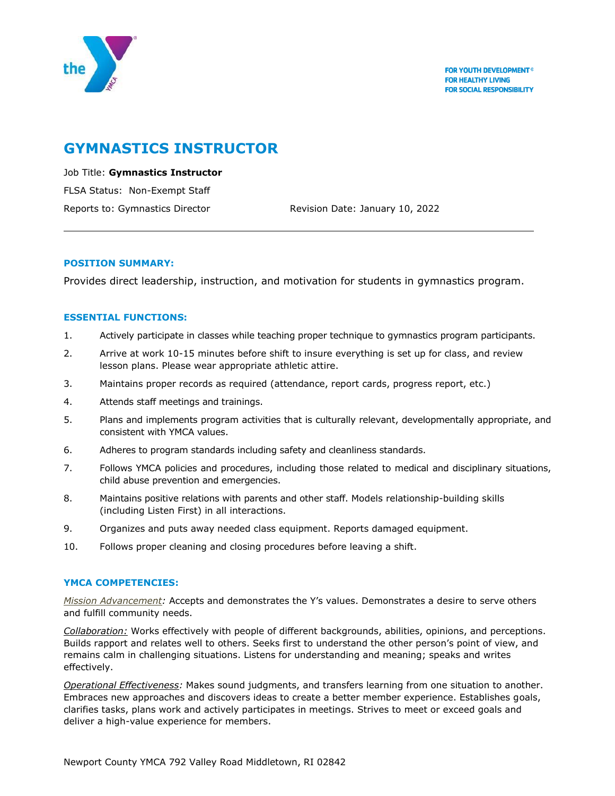

# **GYMNASTICS INSTRUCTOR**

Job Title: **Gymnastics Instructor** FLSA Status: Non-Exempt Staff Reports to: Gymnastics Director **Revision Date: January 10, 2022** 

## **POSITION SUMMARY:**

Provides direct leadership, instruction, and motivation for students in gymnastics program.

## **ESSENTIAL FUNCTIONS:**

- 1. Actively participate in classes while teaching proper technique to gymnastics program participants.
- 2. Arrive at work 10-15 minutes before shift to insure everything is set up for class, and review lesson plans. Please wear appropriate athletic attire.
- 3. Maintains proper records as required (attendance, report cards, progress report, etc.)
- 4. Attends staff meetings and trainings.
- 5. Plans and implements program activities that is culturally relevant, developmentally appropriate, and consistent with YMCA values.
- 6. Adheres to program standards including safety and cleanliness standards.
- 7. Follows YMCA policies and procedures, including those related to medical and disciplinary situations, child abuse prevention and emergencies.
- 8. Maintains positive relations with parents and other staff. Models relationship-building skills (including Listen First) in all interactions.
- 9. Organizes and puts away needed class equipment. Reports damaged equipment.
- 10. Follows proper cleaning and closing procedures before leaving a shift.

# **YMCA COMPETENCIES:**

*Mission Advancement:* Accepts and demonstrates the Y's values. Demonstrates a desire to serve others and fulfill community needs.

*Collaboration:* Works effectively with people of different backgrounds, abilities, opinions, and perceptions. Builds rapport and relates well to others. Seeks first to understand the other person's point of view, and remains calm in challenging situations. Listens for understanding and meaning; speaks and writes effectively.

*Operational Effectiveness:* Makes sound judgments, and transfers learning from one situation to another. Embraces new approaches and discovers ideas to create a better member experience. Establishes goals, clarifies tasks, plans work and actively participates in meetings. Strives to meet or exceed goals and deliver a high-value experience for members.